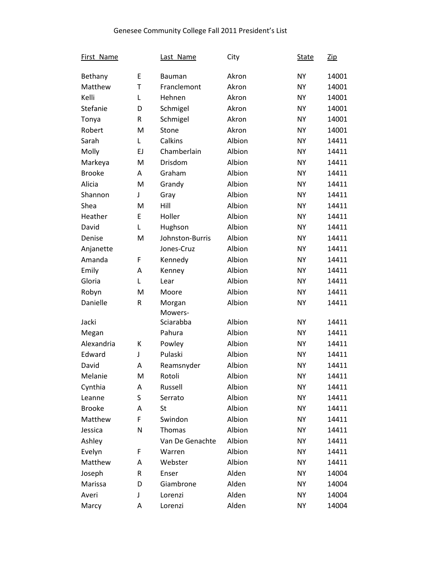| First Name    |    | Last Name       | City   | <b>State</b> | <u>Zip</u> |
|---------------|----|-----------------|--------|--------------|------------|
| Bethany       | E  | <b>Bauman</b>   | Akron  | <b>NY</b>    | 14001      |
| Matthew       | T  | Franclemont     | Akron  | <b>NY</b>    | 14001      |
| Kelli         | L  | Hehnen          | Akron  | <b>NY</b>    | 14001      |
| Stefanie      | D  | Schmigel        | Akron  | <b>NY</b>    | 14001      |
| Tonya         | R  | Schmigel        | Akron  | <b>NY</b>    | 14001      |
| Robert        | M  | Stone           | Akron  | <b>NY</b>    | 14001      |
| Sarah         | Г  | Calkins         | Albion | <b>NY</b>    | 14411      |
| Molly         | EJ | Chamberlain     | Albion | <b>NY</b>    | 14411      |
| Markeya       | M  | Drisdom         | Albion | <b>NY</b>    | 14411      |
| <b>Brooke</b> | A  | Graham          | Albion | <b>NY</b>    | 14411      |
| Alicia        | M  | Grandy          | Albion | <b>NY</b>    | 14411      |
| Shannon       | J  | Gray            | Albion | <b>NY</b>    | 14411      |
| Shea          | M  | Hill            | Albion | <b>NY</b>    | 14411      |
| Heather       | E  | Holler          | Albion | <b>NY</b>    | 14411      |
| David         | Г  | Hughson         | Albion | <b>NY</b>    | 14411      |
| Denise        | M  | Johnston-Burris | Albion | <b>NY</b>    | 14411      |
| Anjanette     |    | Jones-Cruz      | Albion | <b>NY</b>    | 14411      |
| Amanda        | F  | Kennedy         | Albion | <b>NY</b>    | 14411      |
| Emily         | A  | Kenney          | Albion | <b>NY</b>    | 14411      |
| Gloria        | L  | Lear            | Albion | <b>NY</b>    | 14411      |
| Robyn         | M  | Moore           | Albion | <b>NY</b>    | 14411      |
| Danielle      | R  | Morgan          | Albion | <b>NY</b>    | 14411      |
|               |    | Mowers-         |        |              |            |
| Jacki         |    | Sciarabba       | Albion | <b>NY</b>    | 14411      |
| Megan         |    | Pahura          | Albion | <b>NY</b>    | 14411      |
| Alexandria    | К  | Powley          | Albion | <b>NY</b>    | 14411      |
| Edward        | J  | Pulaski         | Albion | <b>NY</b>    | 14411      |
| David         | A  | Reamsnyder      | Albion | <b>NY</b>    | 14411      |
| Melanie       | M  | Rotoli          | Albion | <b>NY</b>    | 14411      |
| Cynthia       | A  | Russell         | Albion | <b>NY</b>    | 14411      |
| Leanne        | S  | Serrato         | Albion | <b>NY</b>    | 14411      |
| <b>Brooke</b> | A  | St              | Albion | <b>NY</b>    | 14411      |
| Matthew       | F  | Swindon         | Albion | <b>NY</b>    | 14411      |
| Jessica       | N  | Thomas          | Albion | <b>NY</b>    | 14411      |
| Ashley        |    | Van De Genachte | Albion | <b>NY</b>    | 14411      |
| Evelyn        | F  | Warren          | Albion | <b>NY</b>    | 14411      |
| Matthew       | A  | Webster         | Albion | <b>NY</b>    | 14411      |
| Joseph        | R  | Enser           | Alden  | <b>NY</b>    | 14004      |
| Marissa       | D  | Giambrone       | Alden  | <b>NY</b>    | 14004      |
| Averi         | J  | Lorenzi         | Alden  | <b>NY</b>    | 14004      |
| Marcy         | Α  | Lorenzi         | Alden  | <b>NY</b>    | 14004      |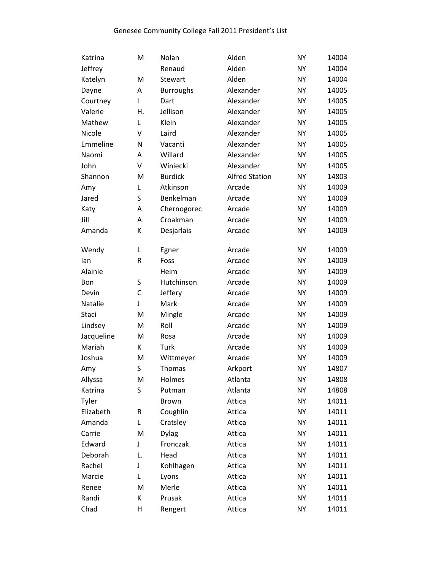| Katrina    | M           | Nolan            | Alden                 | <b>NY</b> | 14004 |
|------------|-------------|------------------|-----------------------|-----------|-------|
| Jeffrey    |             | Renaud           | Alden                 | <b>NY</b> | 14004 |
| Katelyn    | M           | Stewart          | Alden                 | <b>NY</b> | 14004 |
| Dayne      | Α           | <b>Burroughs</b> | Alexander             | <b>NY</b> | 14005 |
| Courtney   | I           | Dart             | Alexander             | <b>NY</b> | 14005 |
| Valerie    | Η.          | Jellison         | Alexander             | <b>NY</b> | 14005 |
| Mathew     | Г           | Klein            | Alexander             | <b>NY</b> | 14005 |
| Nicole     | V           | Laird            | Alexander             | <b>NY</b> | 14005 |
| Emmeline   | N           | Vacanti          | Alexander             | <b>NY</b> | 14005 |
| Naomi      | Α           | Willard          | Alexander             | <b>NY</b> | 14005 |
| John       | $\mathsf V$ | Winiecki         | Alexander             | <b>NY</b> | 14005 |
| Shannon    | M           | <b>Burdick</b>   | <b>Alfred Station</b> | <b>NY</b> | 14803 |
| Amy        | Г           | Atkinson         | Arcade                | <b>NY</b> | 14009 |
| Jared      | S           | Benkelman        | Arcade                | <b>NY</b> | 14009 |
| Katy       | Α           | Chernogorec      | Arcade                | <b>NY</b> | 14009 |
| Jill       | Α           | Croakman         | Arcade                | <b>NY</b> | 14009 |
| Amanda     | К           | Desjarlais       | Arcade                | <b>NY</b> | 14009 |
|            |             |                  |                       |           |       |
| Wendy      | L           | Egner            | Arcade                | <b>NY</b> | 14009 |
| lan        | $\sf R$     | Foss             | Arcade                | <b>NY</b> | 14009 |
| Alainie    |             | Heim             | Arcade                | <b>NY</b> | 14009 |
| <b>Bon</b> | S           | Hutchinson       | Arcade                | <b>NY</b> | 14009 |
| Devin      | $\mathsf C$ | Jeffery          | Arcade                | <b>NY</b> | 14009 |
| Natalie    | J           | Mark             | Arcade                | <b>NY</b> | 14009 |
| Staci      | M           | Mingle           | Arcade                | <b>NY</b> | 14009 |
| Lindsey    | M           | Roll             | Arcade                | <b>NY</b> | 14009 |
| Jacqueline | M           | Rosa             | Arcade                | <b>NY</b> | 14009 |
| Mariah     | К           | Turk             | Arcade                | <b>NY</b> | 14009 |
| Joshua     | M           | Wittmeyer        | Arcade                | <b>NY</b> | 14009 |
| Amy        | S           | Thomas           | Arkport               | <b>NY</b> | 14807 |
| Allyssa    | M           | Holmes           | Atlanta               | <b>NY</b> | 14808 |
| Katrina    | S           | Putman           | Atlanta               | <b>NY</b> | 14808 |
| Tyler      |             | Brown            | Attica                | <b>NY</b> | 14011 |
| Elizabeth  | R           | Coughlin         | Attica                | <b>NY</b> | 14011 |
| Amanda     | Г           | Cratsley         | Attica                | <b>NY</b> | 14011 |
| Carrie     | M           | <b>Dylag</b>     | Attica                | <b>NY</b> | 14011 |
| Edward     | J           | Fronczak         | Attica                | <b>NY</b> | 14011 |
| Deborah    | L.          | Head             | Attica                | <b>NY</b> | 14011 |
| Rachel     | J           | Kohlhagen        | Attica                | <b>NY</b> | 14011 |
| Marcie     | Г           | Lyons            | Attica                | <b>NY</b> | 14011 |
| Renee      | M           | Merle            | Attica                | <b>NY</b> | 14011 |
| Randi      | К           | Prusak           | Attica                | <b>NY</b> | 14011 |
| Chad       | Н           | Rengert          | Attica                | <b>NY</b> | 14011 |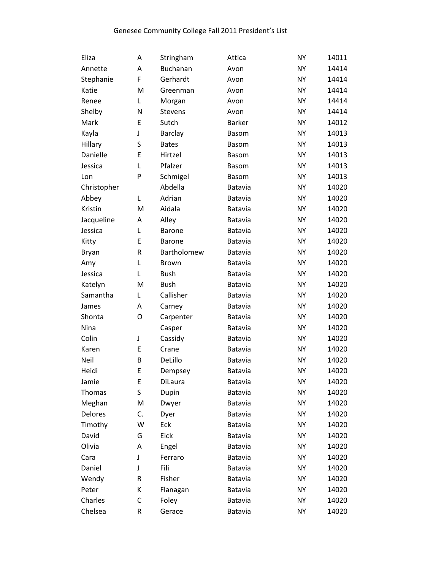| Eliza        | A  | Stringham      | Attica         | <b>NY</b> | 14011 |
|--------------|----|----------------|----------------|-----------|-------|
| Annette      | Α  | Buchanan       | Avon           | <b>NY</b> | 14414 |
| Stephanie    | F  | Gerhardt       | Avon           | <b>NY</b> | 14414 |
| Katie        | M  | Greenman       | Avon           | <b>NY</b> | 14414 |
| Renee        | L  | Morgan         | Avon           | <b>NY</b> | 14414 |
| Shelby       | N  | <b>Stevens</b> | Avon           | <b>NY</b> | 14414 |
| Mark         | E  | Sutch          | <b>Barker</b>  | <b>NY</b> | 14012 |
| Kayla        | J  | Barclay        | <b>Basom</b>   | <b>NY</b> | 14013 |
| Hillary      | S  | <b>Bates</b>   | <b>Basom</b>   | <b>NY</b> | 14013 |
| Danielle     | E  | Hirtzel        | <b>Basom</b>   | <b>NY</b> | 14013 |
| Jessica      | L  | Pfalzer        | <b>Basom</b>   | <b>NY</b> | 14013 |
| Lon          | P  | Schmigel       | <b>Basom</b>   | <b>NY</b> | 14013 |
| Christopher  |    | Abdella        | <b>Batavia</b> | <b>NY</b> | 14020 |
| Abbey        | Г  | Adrian         | Batavia        | <b>NY</b> | 14020 |
| Kristin      | M  | Aidala         | Batavia        | <b>NY</b> | 14020 |
| Jacqueline   | Α  | Alley          | Batavia        | <b>NY</b> | 14020 |
| Jessica      | L  | <b>Barone</b>  | <b>Batavia</b> | <b>NY</b> | 14020 |
| Kitty        | E  | <b>Barone</b>  | Batavia        | <b>NY</b> | 14020 |
| <b>Bryan</b> | R  | Bartholomew    | Batavia        | <b>NY</b> | 14020 |
| Amy          | L  | <b>Brown</b>   | Batavia        | <b>NY</b> | 14020 |
| Jessica      | L  | <b>Bush</b>    | <b>Batavia</b> | <b>NY</b> | 14020 |
| Katelyn      | M  | <b>Bush</b>    | Batavia        | <b>NY</b> | 14020 |
| Samantha     | L  | Callisher      | Batavia        | <b>NY</b> | 14020 |
| James        | Α  | Carney         | Batavia        | <b>NY</b> | 14020 |
| Shonta       | O  | Carpenter      | <b>Batavia</b> | <b>NY</b> | 14020 |
| Nina         |    | Casper         | Batavia        | <b>NY</b> | 14020 |
| Colin        | J  | Cassidy        | <b>Batavia</b> | <b>NY</b> | 14020 |
| Karen        | E  | Crane          | Batavia        | <b>NY</b> | 14020 |
| Neil         | В  | DeLillo        | <b>Batavia</b> | <b>NY</b> | 14020 |
| Heidi        | E  | Dempsey        | <b>Batavia</b> | <b>NY</b> | 14020 |
| Jamie        | E  | DiLaura        | <b>Batavia</b> | <b>NY</b> | 14020 |
| Thomas       | S  | Dupin          | Batavia        | <b>NY</b> | 14020 |
| Meghan       | M  | Dwyer          | Batavia        | <b>NY</b> | 14020 |
| Delores      | C. | Dyer           | Batavia        | <b>NY</b> | 14020 |
| Timothy      | W  | Eck            | Batavia        | <b>NY</b> | 14020 |
| David        | G  | Eick           | Batavia        | <b>NY</b> | 14020 |
| Olivia       | Α  | Engel          | Batavia        | <b>NY</b> | 14020 |
| Cara         | J  | Ferraro        | Batavia        | <b>NY</b> | 14020 |
| Daniel       | J  | Fili           | Batavia        | <b>NY</b> | 14020 |
| Wendy        | R  | Fisher         | <b>Batavia</b> | <b>NY</b> | 14020 |
| Peter        | К  | Flanagan       | <b>Batavia</b> | NΥ        | 14020 |
| Charles      | C  | Foley          | Batavia        | <b>NY</b> | 14020 |
| Chelsea      | R  | Gerace         | Batavia        | <b>NY</b> | 14020 |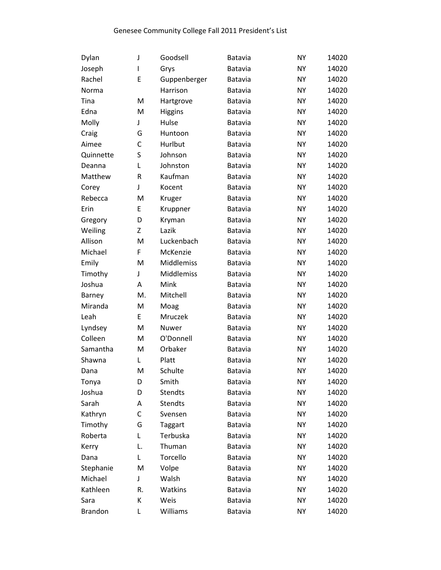| Dylan          | J  | Goodsell       | <b>Batavia</b> | <b>NY</b> | 14020 |
|----------------|----|----------------|----------------|-----------|-------|
| Joseph         | I  | Grys           | Batavia        | <b>NY</b> | 14020 |
| Rachel         | E  | Guppenberger   | <b>Batavia</b> | <b>NY</b> | 14020 |
| Norma          |    | Harrison       | Batavia        | <b>NY</b> | 14020 |
| Tina           | M  | Hartgrove      | <b>Batavia</b> | <b>NY</b> | 14020 |
| Edna           | M  | <b>Higgins</b> | Batavia        | <b>NY</b> | 14020 |
| Molly          | J  | Hulse          | Batavia        | <b>NY</b> | 14020 |
| Craig          | G  | Huntoon        | Batavia        | <b>NY</b> | 14020 |
| Aimee          | C  | Hurlbut        | Batavia        | <b>NY</b> | 14020 |
| Quinnette      | S  | Johnson        | Batavia        | <b>NY</b> | 14020 |
| Deanna         | L  | Johnston       | Batavia        | <b>NY</b> | 14020 |
| Matthew        | R  | Kaufman        | Batavia        | <b>NY</b> | 14020 |
| Corey          | J  | Kocent         | <b>Batavia</b> | <b>NY</b> | 14020 |
| Rebecca        | M  | Kruger         | Batavia        | <b>NY</b> | 14020 |
| Erin           | E  | Kruppner       | <b>Batavia</b> | <b>NY</b> | 14020 |
| Gregory        | D  | Kryman         | Batavia        | <b>NY</b> | 14020 |
| Weiling        | Ζ  | Lazik          | Batavia        | <b>NY</b> | 14020 |
| Allison        | M  | Luckenbach     | Batavia        | <b>NY</b> | 14020 |
| Michael        | F  | McKenzie       | Batavia        | <b>NY</b> | 14020 |
| Emily          | M  | Middlemiss     | Batavia        | <b>NY</b> | 14020 |
| Timothy        | J  | Middlemiss     | <b>Batavia</b> | <b>NY</b> | 14020 |
| Joshua         | Α  | Mink           | Batavia        | <b>NY</b> | 14020 |
| Barney         | M. | Mitchell       | <b>Batavia</b> | <b>NY</b> | 14020 |
| Miranda        | M  | Moag           | Batavia        | <b>NY</b> | 14020 |
| Leah           | E  | Mruczek        | <b>Batavia</b> | <b>NY</b> | 14020 |
| Lyndsey        | M  | Nuwer          | Batavia        | <b>NY</b> | 14020 |
| Colleen        | M  | O'Donnell      | Batavia        | <b>NY</b> | 14020 |
| Samantha       | M  | Orbaker        | Batavia        | <b>NY</b> | 14020 |
| Shawna         | L  | Platt          | <b>Batavia</b> | <b>NY</b> | 14020 |
| Dana           | M  | Schulte        | Batavia        | <b>NY</b> | 14020 |
| Tonya          | D  | Smith          | <b>Batavia</b> | NY        | 14020 |
| Joshua         | D  | <b>Stendts</b> | Batavia        | <b>NY</b> | 14020 |
| Sarah          | Α  | <b>Stendts</b> | Batavia        | <b>NY</b> | 14020 |
| Kathryn        | C  | Svensen        | Batavia        | <b>NY</b> | 14020 |
| Timothy        | G  | Taggart        | Batavia        | <b>NY</b> | 14020 |
| Roberta        | L  | Terbuska       | Batavia        | <b>NY</b> | 14020 |
| Kerry          | L. | Thuman         | Batavia        | <b>NY</b> | 14020 |
| Dana           | Г  | Torcello       | Batavia        | <b>NY</b> | 14020 |
| Stephanie      | M  | Volpe          | Batavia        | <b>NY</b> | 14020 |
| Michael        | J  | Walsh          | Batavia        | NY        | 14020 |
| Kathleen       | R. | Watkins        | Batavia        | NY        | 14020 |
| Sara           | K  | Weis           | Batavia        | <b>NY</b> | 14020 |
| <b>Brandon</b> | L  | Williams       | Batavia        | NY        | 14020 |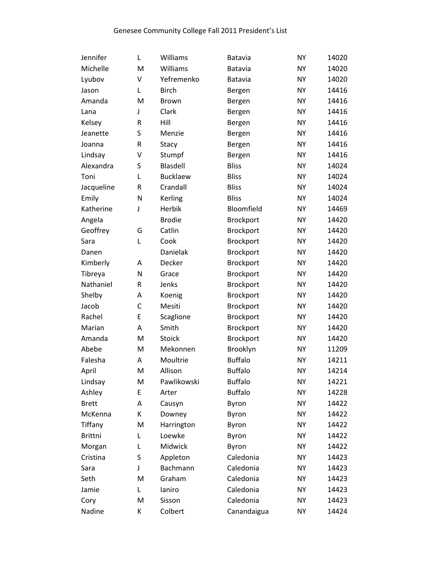| Jennifer       | Г | Williams      | Batavia        | <b>NY</b> | 14020 |
|----------------|---|---------------|----------------|-----------|-------|
| Michelle       | M | Williams      | Batavia        | <b>NY</b> | 14020 |
| Lyubov         | V | Yefremenko    | Batavia        | <b>NY</b> | 14020 |
| Jason          | Г | <b>Birch</b>  | Bergen         | <b>NY</b> | 14416 |
| Amanda         | M | <b>Brown</b>  | Bergen         | <b>NY</b> | 14416 |
| Lana           | J | Clark         | Bergen         | <b>NY</b> | 14416 |
| Kelsey         | R | Hill          | Bergen         | <b>NY</b> | 14416 |
| Jeanette       | S | Menzie        | Bergen         | <b>NY</b> | 14416 |
| Joanna         | R | Stacy         | Bergen         | <b>NY</b> | 14416 |
| Lindsay        | v | Stumpf        | Bergen         | <b>NY</b> | 14416 |
| Alexandra      | S | Blasdell      | <b>Bliss</b>   | <b>NY</b> | 14024 |
| Toni           | Г | Bucklaew      | <b>Bliss</b>   | <b>NY</b> | 14024 |
| Jacqueline     | R | Crandall      | <b>Bliss</b>   | <b>NY</b> | 14024 |
| Emily          | N | Kerling       | <b>Bliss</b>   | <b>NY</b> | 14024 |
| Katherine      | J | Herbik        | Bloomfield     | <b>NY</b> | 14469 |
| Angela         |   | <b>Brodie</b> | Brockport      | <b>NY</b> | 14420 |
| Geoffrey       | G | Catlin        | Brockport      | <b>NY</b> | 14420 |
| Sara           | L | Cook          | Brockport      | <b>NY</b> | 14420 |
| Danen          |   | Danielak      | Brockport      | <b>NY</b> | 14420 |
| Kimberly       | Α | Decker        | Brockport      | <b>NY</b> | 14420 |
| Tibreya        | N | Grace         | Brockport      | <b>NY</b> | 14420 |
| Nathaniel      | R | Jenks         | Brockport      | <b>NY</b> | 14420 |
| Shelby         | Α | Koenig        | Brockport      | <b>NY</b> | 14420 |
| Jacob          | C | Mesiti        | Brockport      | <b>NY</b> | 14420 |
| Rachel         | E | Scaglione     | Brockport      | <b>NY</b> | 14420 |
| Marian         | Α | Smith         | Brockport      | <b>NY</b> | 14420 |
| Amanda         | M | <b>Stoick</b> | Brockport      | <b>NY</b> | 14420 |
| Abebe          | M | Mekonnen      | Brooklyn       | <b>NY</b> | 11209 |
| Falesha        | А | Moultrie      | <b>Buffalo</b> | NΥ        | 14211 |
| April          | M | Allison       | <b>Buffalo</b> | <b>NY</b> | 14214 |
| Lindsay        | M | Pawlikowski   | <b>Buffalo</b> | NY        | 14221 |
| Ashley         | E | Arter         | <b>Buffalo</b> | <b>NY</b> | 14228 |
| <b>Brett</b>   | Α | Causyn        | Byron          | <b>NY</b> | 14422 |
| McKenna        | К | Downey        | Byron          | <b>NY</b> | 14422 |
| Tiffany        | M | Harrington    | Byron          | <b>NY</b> | 14422 |
| <b>Brittni</b> | L | Loewke        | Byron          | <b>NY</b> | 14422 |
| Morgan         | Г | Midwick       | Byron          | <b>NY</b> | 14422 |
| Cristina       | S | Appleton      | Caledonia      | <b>NY</b> | 14423 |
| Sara           | J | Bachmann      | Caledonia      | <b>NY</b> | 14423 |
| Seth           | M | Graham        | Caledonia      | <b>NY</b> | 14423 |
| Jamie          | Г | laniro        | Caledonia      | NΥ        | 14423 |
| Cory           | M | Sisson        | Caledonia      | <b>NY</b> | 14423 |
| Nadine         | К | Colbert       | Canandaigua    | NΥ        | 14424 |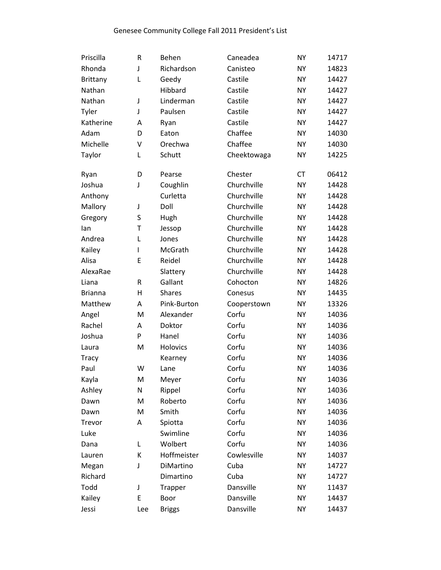| Priscilla      | R   | Behen           | Caneadea    | <b>NY</b> | 14717 |
|----------------|-----|-----------------|-------------|-----------|-------|
| Rhonda         | J   | Richardson      | Canisteo    | <b>NY</b> | 14823 |
| Brittany       | L   | Geedy           | Castile     | <b>NY</b> | 14427 |
| Nathan         |     | Hibbard         | Castile     | <b>NY</b> | 14427 |
| Nathan         | J   | Linderman       | Castile     | NY.       | 14427 |
| Tyler          | J   | Paulsen         | Castile     | <b>NY</b> | 14427 |
| Katherine      | A   | Ryan            | Castile     | <b>NY</b> | 14427 |
| Adam           | D   | Eaton           | Chaffee     | <b>NY</b> | 14030 |
| Michelle       | V   | Orechwa         | Chaffee     | NY.       | 14030 |
| Taylor         | L   | Schutt          | Cheektowaga | <b>NY</b> | 14225 |
| Ryan           | D   | Pearse          | Chester     | <b>CT</b> | 06412 |
| Joshua         | J   | Coughlin        | Churchville | <b>NY</b> | 14428 |
| Anthony        |     | Curletta        | Churchville | <b>NY</b> | 14428 |
| Mallory        | J   | Doll            | Churchville | <b>NY</b> | 14428 |
| Gregory        | S   | Hugh            | Churchville | <b>NY</b> | 14428 |
| lan            | T   | Jessop          | Churchville | <b>NY</b> | 14428 |
| Andrea         | L   | Jones           | Churchville | <b>NY</b> | 14428 |
| Kailey         | L   | McGrath         | Churchville | <b>NY</b> | 14428 |
| Alisa          | E   | Reidel          | Churchville | <b>NY</b> | 14428 |
| AlexaRae       |     | Slattery        | Churchville | <b>NY</b> | 14428 |
| Liana          | R   | Gallant         | Cohocton    | <b>NY</b> | 14826 |
| <b>Brianna</b> | н   | <b>Shares</b>   | Conesus     | <b>NY</b> | 14435 |
| Matthew        | Α   | Pink-Burton     | Cooperstown | <b>NY</b> | 13326 |
| Angel          | M   | Alexander       | Corfu       | <b>NY</b> | 14036 |
| Rachel         | A   | Doktor          | Corfu       | <b>NY</b> | 14036 |
| Joshua         | P   | Hanel           | Corfu       | <b>NY</b> | 14036 |
| Laura          | M   | <b>Holovics</b> | Corfu       | <b>NY</b> | 14036 |
| <b>Tracy</b>   |     | Kearney         | Corfu       | <b>NY</b> | 14036 |
| Paul           | W   | Lane            | Corfu       | <b>NY</b> | 14036 |
| Kayla          | M   | Meyer           | Corfu       | <b>NY</b> | 14036 |
| Ashley         | N   | Rippel          | Corfu       | <b>NY</b> | 14036 |
| Dawn           | M   | Roberto         | Corfu       | <b>NY</b> | 14036 |
| Dawn           | M   | Smith           | Corfu       | <b>NY</b> | 14036 |
| Trevor         | Α   | Spiotta         | Corfu       | <b>NY</b> | 14036 |
| Luke           |     | Swimline        | Corfu       | <b>NY</b> | 14036 |
| Dana           | Г   | Wolbert         | Corfu       | <b>NY</b> | 14036 |
| Lauren         | K   | Hoffmeister     | Cowlesville | <b>NY</b> | 14037 |
| Megan          | J   | DiMartino       | Cuba        | <b>NY</b> | 14727 |
| Richard        |     | Dimartino       | Cuba        | <b>NY</b> | 14727 |
| Todd           | J   | <b>Trapper</b>  | Dansville   | <b>NY</b> | 11437 |
| Kailey         | E   | Boor            | Dansville   | <b>NY</b> | 14437 |
| Jessi          | Lee | <b>Briggs</b>   | Dansville   | <b>NY</b> | 14437 |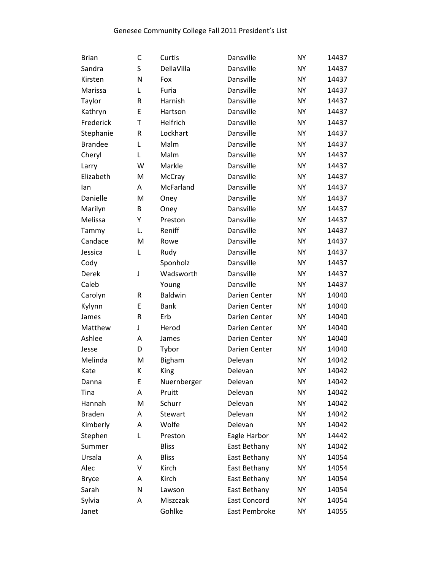| <b>Brian</b>   | С       | Curtis         | Dansville           | <b>NY</b> | 14437 |
|----------------|---------|----------------|---------------------|-----------|-------|
| Sandra         | S       | DellaVilla     | Dansville           | <b>NY</b> | 14437 |
| Kirsten        | N       | Fox            | Dansville           | NΥ        | 14437 |
| Marissa        | L       | Furia          | Dansville           | <b>NY</b> | 14437 |
| Taylor         | $\sf R$ | Harnish        | Dansville           | <b>NY</b> | 14437 |
| Kathryn        | E       | Hartson        | Dansville           | <b>NY</b> | 14437 |
| Frederick      | T       | Helfrich       | Dansville           | <b>NY</b> | 14437 |
| Stephanie      | R       | Lockhart       | Dansville           | <b>NY</b> | 14437 |
| <b>Brandee</b> | L       | Malm           | Dansville           | NY        | 14437 |
| Cheryl         | Г       | Malm           | Dansville           | <b>NY</b> | 14437 |
| Larry          | W       | Markle         | Dansville           | <b>NY</b> | 14437 |
| Elizabeth      | M       | McCray         | Dansville           | <b>NY</b> | 14437 |
| lan            | А       | McFarland      | Dansville           | NY        | 14437 |
| Danielle       | M       | Oney           | Dansville           | <b>NY</b> | 14437 |
| Marilyn        | B       | Oney           | Dansville           | <b>NY</b> | 14437 |
| Melissa        | Υ       | Preston        | Dansville           | <b>NY</b> | 14437 |
| Tammy          | L.      | Reniff         | Dansville           | NY.       | 14437 |
| Candace        | M       | Rowe           | Dansville           | <b>NY</b> | 14437 |
| Jessica        | L       | Rudy           | Dansville           | <b>NY</b> | 14437 |
| Cody           |         | Sponholz       | Dansville           | <b>NY</b> | 14437 |
| Derek          | J       | Wadsworth      | Dansville           | <b>NY</b> | 14437 |
| Caleb          |         | Young          | Dansville           | <b>NY</b> | 14437 |
| Carolyn        | R       | Baldwin        | Darien Center       | <b>NY</b> | 14040 |
| Kylynn         | E       | <b>Bank</b>    | Darien Center       | <b>NY</b> | 14040 |
| James          | $\sf R$ | Erb            | Darien Center       | <b>NY</b> | 14040 |
| Matthew        | J       | Herod          | Darien Center       | NΥ        | 14040 |
| Ashlee         | Α       | James          | Darien Center       | <b>NY</b> | 14040 |
| Jesse          | D       | Tybor          | Darien Center       | <b>NY</b> | 14040 |
| Melinda        | M       | <b>Bigham</b>  | Delevan             | NΥ        | 14042 |
| Kate           | К       | King           | Delevan             | <b>NY</b> | 14042 |
| Danna          | Ε       | Nuernberger    | Delevan             | <b>NY</b> | 14042 |
| Tina           | А       | Pruitt         | Delevan             | <b>NY</b> | 14042 |
| Hannah         | M       | Schurr         | Delevan             | NY        | 14042 |
| <b>Braden</b>  | А       | <b>Stewart</b> | Delevan             | NY        | 14042 |
| Kimberly       | Α       | Wolfe          | Delevan             | NY        | 14042 |
| Stephen        | L       | Preston        | Eagle Harbor        | NY        | 14442 |
| Summer         |         | <b>Bliss</b>   | East Bethany        | NΥ        | 14042 |
| Ursala         | А       | <b>Bliss</b>   | East Bethany        | <b>NY</b> | 14054 |
| Alec           | V       | Kirch          | East Bethany        | ΝY        | 14054 |
| <b>Bryce</b>   | Α       | Kirch          | East Bethany        | NY        | 14054 |
| Sarah          | N       | Lawson         | East Bethany        | NΥ        | 14054 |
| Sylvia         | Α       | Miszczak       | <b>East Concord</b> | NY        | 14054 |
| Janet          |         | Gohlke         | East Pembroke       | NΥ        | 14055 |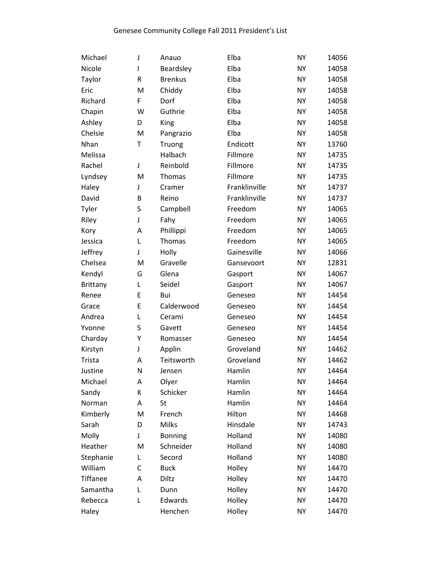| Michael         | J            | Anauo          | Elba          | <b>NY</b> | 14056 |
|-----------------|--------------|----------------|---------------|-----------|-------|
| Nicole          | $\mathsf{I}$ | Beardsley      | Elba          | <b>NY</b> | 14058 |
| Taylor          | R            | <b>Brenkus</b> | Elba          | <b>NY</b> | 14058 |
| Eric            | M            | Chiddy         | Elba          | <b>NY</b> | 14058 |
| Richard         | F            | Dorf           | Elba          | <b>NY</b> | 14058 |
| Chapin          | W            | Guthrie        | Elba          | <b>NY</b> | 14058 |
| Ashley          | D            | King           | Elba          | <b>NY</b> | 14058 |
| Chelsie         | M            | Pangrazio      | Elba          | <b>NY</b> | 14058 |
| Nhan            | T            | Truong         | Endicott      | <b>NY</b> | 13760 |
| Melissa         |              | Halbach        | Fillmore      | <b>NY</b> | 14735 |
| Rachel          | J            | Reinbold       | Fillmore      | <b>NY</b> | 14735 |
| Lyndsey         | M            | Thomas         | Fillmore      | <b>NY</b> | 14735 |
| Haley           | J            | Cramer         | Franklinville | <b>NY</b> | 14737 |
| David           | B            | Reino          | Franklinville | <b>NY</b> | 14737 |
| Tyler           | S            | Campbell       | Freedom       | <b>NY</b> | 14065 |
| Riley           | J            | Fahy           | Freedom       | <b>NY</b> | 14065 |
| Kory            | Α            | Phillippi      | Freedom       | <b>NY</b> | 14065 |
| Jessica         | L            | Thomas         | Freedom       | <b>NY</b> | 14065 |
| Jeffrey         | J            | Holly          | Gainesville   | <b>NY</b> | 14066 |
| Chelsea         | M            | Gravelle       | Gansevoort    | <b>NY</b> | 12831 |
| Kendyl          | G            | Glena          | Gasport       | <b>NY</b> | 14067 |
| <b>Brittany</b> | Г            | Seidel         | Gasport       | <b>NY</b> | 14067 |
| Renee           | E            | Bui            | Geneseo       | <b>NY</b> | 14454 |
| Grace           | E            | Calderwood     | Geneseo       | <b>NY</b> | 14454 |
| Andrea          | L            | Cerami         | Geneseo       | <b>NY</b> | 14454 |
| Yvonne          | S            | Gavett         | Geneseo       | <b>NY</b> | 14454 |
| Charday         | Υ            | Romasser       | Geneseo       | <b>NY</b> | 14454 |
| Kirstyn         | J            | Applin         | Groveland     | <b>NY</b> | 14462 |
| Trista          | Α            | Teitsworth     | Groveland     | <b>NY</b> | 14462 |
| Justine         | N            | Jensen         | Hamlin        | <b>NY</b> | 14464 |
| Michael         | A            | Olyer          | Hamlin        | <b>NY</b> | 14464 |
| Sandy           | К            | Schicker       | Hamlin        | <b>NY</b> | 14464 |
| Norman          | А            | St             | Hamlin        | ΝY        | 14464 |
| Kimberly        | M            | French         | Hilton        | <b>NY</b> | 14468 |
| Sarah           | D            | <b>Milks</b>   | Hinsdale      | <b>NY</b> | 14743 |
| Molly           | J            | <b>Bonning</b> | Holland       | <b>NY</b> | 14080 |
| Heather         | M            | Schneider      | Holland       | ΝY        | 14080 |
| Stephanie       | Г            | Secord         | Holland       | <b>NY</b> | 14080 |
| William         | С            | <b>Buck</b>    | Holley        | ΝY        | 14470 |
| <b>Tiffanee</b> | Α            | Diltz          | Holley        | <b>NY</b> | 14470 |
| Samantha        | L            | Dunn           | Holley        | ΝY        | 14470 |
| Rebecca         | L            | Edwards        | Holley        | <b>NY</b> | 14470 |
| Haley           |              | Henchen        | Holley        | NΥ        | 14470 |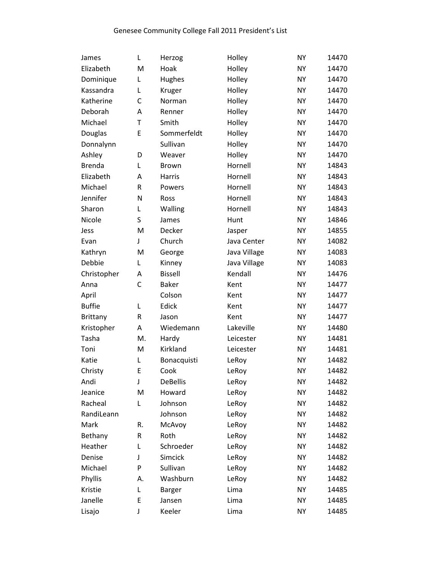| James         | L           | Herzog          | Holley       | <b>NY</b> | 14470 |
|---------------|-------------|-----------------|--------------|-----------|-------|
| Elizabeth     | M           | Hoak            | Holley       | <b>NY</b> | 14470 |
| Dominique     | L           | Hughes          | Holley       | <b>NY</b> | 14470 |
| Kassandra     | L           | Kruger          | Holley       | <b>NY</b> | 14470 |
| Katherine     | C           | Norman          | Holley       | <b>NY</b> | 14470 |
| Deborah       | A           | Renner          | Holley       | <b>NY</b> | 14470 |
| Michael       | T           | Smith           | Holley       | <b>NY</b> | 14470 |
| Douglas       | E           | Sommerfeldt     | Holley       | <b>NY</b> | 14470 |
| Donnalynn     |             | Sullivan        | Holley       | <b>NY</b> | 14470 |
| Ashley        | D           | Weaver          | Holley       | <b>NY</b> | 14470 |
| <b>Brenda</b> | L           | <b>Brown</b>    | Hornell      | <b>NY</b> | 14843 |
| Elizabeth     | Α           | Harris          | Hornell      | <b>NY</b> | 14843 |
| Michael       | ${\sf R}$   | Powers          | Hornell      | <b>NY</b> | 14843 |
| Jennifer      | N           | Ross            | Hornell      | <b>NY</b> | 14843 |
| Sharon        | L           | Walling         | Hornell      | <b>NY</b> | 14843 |
| Nicole        | S           | James           | Hunt         | <b>NY</b> | 14846 |
| Jess          | M           | Decker          | Jasper       | <b>NY</b> | 14855 |
| Evan          | J           | Church          | Java Center  | <b>NY</b> | 14082 |
| Kathryn       | M           | George          | Java Village | <b>NY</b> | 14083 |
| Debbie        | Г           | Kinney          | Java Village | <b>NY</b> | 14083 |
| Christopher   | A           | <b>Bissell</b>  | Kendall      | <b>NY</b> | 14476 |
| Anna          | $\mathsf C$ | <b>Baker</b>    | Kent         | <b>NY</b> | 14477 |
| April         |             | Colson          | Kent         | <b>NY</b> | 14477 |
| <b>Buffie</b> | L           | Edick           | Kent         | <b>NY</b> | 14477 |
| Brittany      | ${\sf R}$   | Jason           | Kent         | <b>NY</b> | 14477 |
| Kristopher    | Α           | Wiedemann       | Lakeville    | <b>NY</b> | 14480 |
| Tasha         | M.          | Hardy           | Leicester    | <b>NY</b> | 14481 |
| Toni          | M           | Kirkland        | Leicester    | <b>NY</b> | 14481 |
| Katie         | L           | Bonacquisti     | LeRoy        | <b>NY</b> | 14482 |
| Christy       | E           | Cook            | LeRoy        | <b>NY</b> | 14482 |
| Andi          | J           | <b>DeBellis</b> | LeRoy        | <b>NY</b> | 14482 |
| Jeanice       | M           | Howard          | LeRoy        | <b>NY</b> | 14482 |
| Racheal       | Г           | Johnson         | LeRoy        | NY        | 14482 |
| RandiLeann    |             | Johnson         | LeRoy        | <b>NY</b> | 14482 |
| Mark          | R.          | McAvoy          | LeRoy        | <b>NY</b> | 14482 |
| Bethany       | R           | Roth            | LeRoy        | <b>NY</b> | 14482 |
| Heather       | Г           | Schroeder       | LeRoy        | NY        | 14482 |
| Denise        | J           | <b>Simcick</b>  | LeRoy        | <b>NY</b> | 14482 |
| Michael       | P           | Sullivan        | LeRoy        | <b>NY</b> | 14482 |
| Phyllis       | А.          | Washburn        | LeRoy        | <b>NY</b> | 14482 |
| Kristie       | L           | Barger          | Lima         | NY        | 14485 |
| Janelle       | Ε           | Jansen          | Lima         | <b>NY</b> | 14485 |
| Lisajo        | J           | Keeler          | Lima         | NY        | 14485 |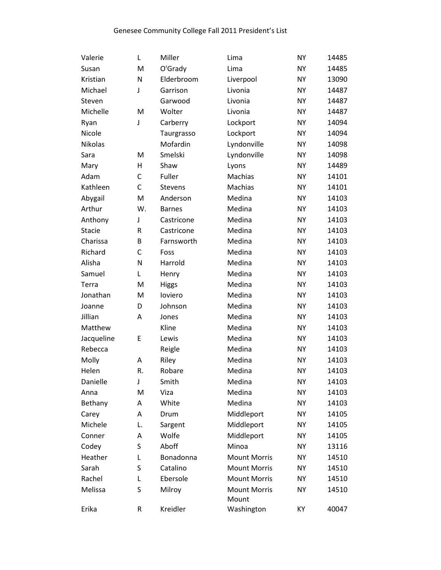| Valerie       | Г  | Miller         | Lima                         | <b>NY</b> | 14485 |
|---------------|----|----------------|------------------------------|-----------|-------|
| Susan         | M  | O'Grady        | Lima                         | <b>NY</b> | 14485 |
| Kristian      | N  | Elderbroom     | Liverpool                    | <b>NY</b> | 13090 |
| Michael       | J  | Garrison       | Livonia                      | <b>NY</b> | 14487 |
| Steven        |    | Garwood        | Livonia                      | <b>NY</b> | 14487 |
| Michelle      | M  | Wolter         | Livonia                      | <b>NY</b> | 14487 |
| Ryan          | J  | Carberry       | Lockport                     | <b>NY</b> | 14094 |
| Nicole        |    | Taurgrasso     | Lockport                     | <b>NY</b> | 14094 |
| Nikolas       |    | Mofardin       | Lyndonville                  | <b>NY</b> | 14098 |
| Sara          | M  | Smelski        | Lyndonville                  | <b>NY</b> | 14098 |
| Mary          | Н  | Shaw           | Lyons                        | <b>NY</b> | 14489 |
| Adam          | C  | Fuller         | Machias                      | <b>NY</b> | 14101 |
| Kathleen      | C  | <b>Stevens</b> | Machias                      | <b>NY</b> | 14101 |
| Abygail       | M  | Anderson       | Medina                       | <b>NY</b> | 14103 |
| Arthur        | W. | <b>Barnes</b>  | Medina                       | <b>NY</b> | 14103 |
| Anthony       | J  | Castricone     | Medina                       | <b>NY</b> | 14103 |
| <b>Stacie</b> | R  | Castricone     | Medina                       | <b>NY</b> | 14103 |
| Charissa      | B  | Farnsworth     | Medina                       | <b>NY</b> | 14103 |
| Richard       | C  | Foss           | Medina                       | <b>NY</b> | 14103 |
| Alisha        | N  | Harrold        | Medina                       | <b>NY</b> | 14103 |
| Samuel        | Г  | Henry          | Medina                       | <b>NY</b> | 14103 |
| Terra         | M  | <b>Higgs</b>   | Medina                       | <b>NY</b> | 14103 |
| Jonathan      | M  | loviero        | Medina                       | <b>NY</b> | 14103 |
| Joanne        | D  | Johnson        | Medina                       | <b>NY</b> | 14103 |
| Jillian       | Α  | Jones          | Medina                       | <b>NY</b> | 14103 |
| Matthew       |    | Kline          | Medina                       | <b>NY</b> | 14103 |
| Jacqueline    | E  | Lewis          | Medina                       | <b>NY</b> | 14103 |
| Rebecca       |    | Reigle         | Medina                       | <b>NY</b> | 14103 |
| Molly         | А  | Riley          | Medina                       | <b>NY</b> | 14103 |
| Helen         | R. | Robare         | Medina                       | <b>NY</b> | 14103 |
| Danielle      | J  | Smith          | Medina                       | <b>NY</b> | 14103 |
| Anna          | M  | Viza           | Medina                       | <b>NY</b> | 14103 |
| Bethany       | А  | White          | Medina                       | <b>NY</b> | 14103 |
| Carey         | А  | Drum           | Middleport                   | <b>NY</b> | 14105 |
| Michele       | L. | Sargent        | Middleport                   | <b>NY</b> | 14105 |
| Conner        | А  | Wolfe          | Middleport                   | <b>NY</b> | 14105 |
| Codey         | S  | Aboff          | Minoa                        | <b>NY</b> | 13116 |
| Heather       | Г  | Bonadonna      | <b>Mount Morris</b>          | <b>NY</b> | 14510 |
| Sarah         | S  | Catalino       | <b>Mount Morris</b>          | <b>NY</b> | 14510 |
| Rachel        | L  | Ebersole       | <b>Mount Morris</b>          | <b>NY</b> | 14510 |
| Melissa       | S  | Milroy         | <b>Mount Morris</b><br>Mount | <b>NY</b> | 14510 |
| Erika         | R  | Kreidler       | Washington                   | KY        | 40047 |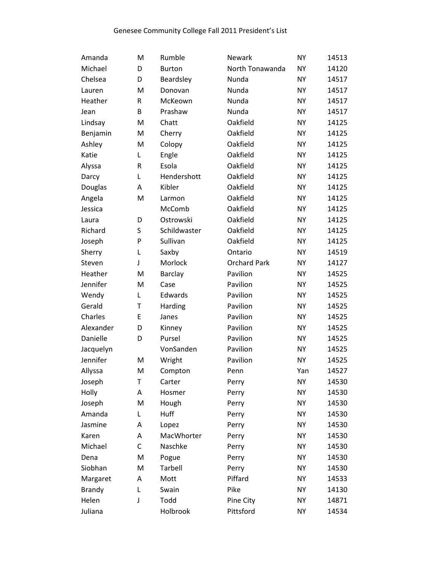| Amanda        | M         | Rumble        | Newark              | <b>NY</b> | 14513 |
|---------------|-----------|---------------|---------------------|-----------|-------|
| Michael       | D         | <b>Burton</b> | North Tonawanda     | <b>NY</b> | 14120 |
| Chelsea       | D         | Beardsley     | Nunda               | <b>NY</b> | 14517 |
| Lauren        | M         | Donovan       | Nunda               | <b>NY</b> | 14517 |
| Heather       | ${\sf R}$ | McKeown       | Nunda               | <b>NY</b> | 14517 |
| Jean          | B         | Prashaw       | Nunda               | <b>NY</b> | 14517 |
| Lindsay       | M         | Chatt         | Oakfield            | <b>NY</b> | 14125 |
| Benjamin      | M         | Cherry        | Oakfield            | <b>NY</b> | 14125 |
| Ashley        | M         | Colopy        | Oakfield            | <b>NY</b> | 14125 |
| Katie         | Г         | Engle         | Oakfield            | <b>NY</b> | 14125 |
| Alyssa        | ${\sf R}$ | Esola         | Oakfield            | <b>NY</b> | 14125 |
| Darcy         | L         | Hendershott   | Oakfield            | <b>NY</b> | 14125 |
| Douglas       | Α         | Kibler        | Oakfield            | <b>NY</b> | 14125 |
| Angela        | M         | Larmon        | Oakfield            | <b>NY</b> | 14125 |
| Jessica       |           | McComb        | Oakfield            | <b>NY</b> | 14125 |
| Laura         | D         | Ostrowski     | Oakfield            | <b>NY</b> | 14125 |
| Richard       | S         | Schildwaster  | Oakfield            | <b>NY</b> | 14125 |
| Joseph        | P         | Sullivan      | Oakfield            | <b>NY</b> | 14125 |
| Sherry        | L         | Saxby         | Ontario             | <b>NY</b> | 14519 |
| Steven        | J         | Morlock       | <b>Orchard Park</b> | <b>NY</b> | 14127 |
| Heather       | M         | Barclay       | Pavilion            | <b>NY</b> | 14525 |
| Jennifer      | M         | Case          | Pavilion            | <b>NY</b> | 14525 |
| Wendy         | L         | Edwards       | Pavilion            | <b>NY</b> | 14525 |
| Gerald        | T         | Harding       | Pavilion            | <b>NY</b> | 14525 |
| Charles       | E         | Janes         | Pavilion            | <b>NY</b> | 14525 |
| Alexander     | D         | Kinney        | Pavilion            | <b>NY</b> | 14525 |
| Danielle      | D         | Pursel        | Pavilion            | <b>NY</b> | 14525 |
| Jacquelyn     |           | VonSanden     | Pavilion            | <b>NY</b> | 14525 |
| Jennifer      | M         | Wright        | Pavilion            | <b>NY</b> | 14525 |
| Allyssa       | M         | Compton       | Penn                | Yan       | 14527 |
| Joseph        | Τ         | Carter        | Perry               | <b>NY</b> | 14530 |
| Holly         | Α         | Hosmer        | Perry               | <b>NY</b> | 14530 |
| Joseph        | M         | Hough         | Perry               | <b>NY</b> | 14530 |
| Amanda        | Г         | Huff          | Perry               | <b>NY</b> | 14530 |
| Jasmine       | Α         | Lopez         | Perry               | <b>NY</b> | 14530 |
| Karen         | А         | MacWhorter    | Perry               | <b>NY</b> | 14530 |
| Michael       | C         | Naschke       | Perry               | <b>NY</b> | 14530 |
| Dena          | M         | Pogue         | Perry               | <b>NY</b> | 14530 |
| Siobhan       | M         | Tarbell       | Perry               | <b>NY</b> | 14530 |
| Margaret      | Α         | Mott          | Piffard             | <b>NY</b> | 14533 |
| <b>Brandy</b> | L         | Swain         | Pike                | <b>NY</b> | 14130 |
| Helen         | J         | Todd          | Pine City           | <b>NY</b> | 14871 |
| Juliana       |           | Holbrook      | Pittsford           | <b>NY</b> | 14534 |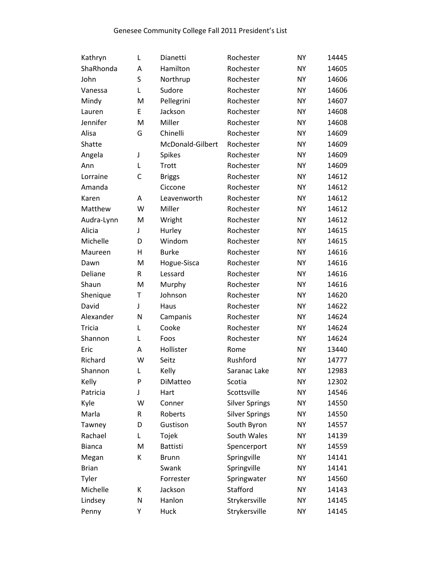| Kathryn       | L         | Dianetti         | Rochester             | <b>NY</b> | 14445 |
|---------------|-----------|------------------|-----------------------|-----------|-------|
| ShaRhonda     | Α         | Hamilton         | Rochester             | <b>NY</b> | 14605 |
| John          | S         | Northrup         | Rochester             | <b>NY</b> | 14606 |
| Vanessa       | Г         | Sudore           | Rochester             | <b>NY</b> | 14606 |
| Mindy         | M         | Pellegrini       | Rochester             | <b>NY</b> | 14607 |
| Lauren        | E         | Jackson          | Rochester             | <b>NY</b> | 14608 |
| Jennifer      | M         | Miller           | Rochester             | <b>NY</b> | 14608 |
| Alisa         | G         | Chinelli         | Rochester             | <b>NY</b> | 14609 |
| Shatte        |           | McDonald-Gilbert | Rochester             | <b>NY</b> | 14609 |
| Angela        | J         | <b>Spikes</b>    | Rochester             | <b>NY</b> | 14609 |
| Ann           | L         | Trott            | Rochester             | <b>NY</b> | 14609 |
| Lorraine      | C         | <b>Briggs</b>    | Rochester             | <b>NY</b> | 14612 |
| Amanda        |           | Ciccone          | Rochester             | <b>NY</b> | 14612 |
| Karen         | Α         | Leavenworth      | Rochester             | <b>NY</b> | 14612 |
| Matthew       | W         | Miller           | Rochester             | <b>NY</b> | 14612 |
| Audra-Lynn    | M         | Wright           | Rochester             | <b>NY</b> | 14612 |
| Alicia        | J         | Hurley           | Rochester             | <b>NY</b> | 14615 |
| Michelle      | D         | Windom           | Rochester             | <b>NY</b> | 14615 |
| Maureen       | Η         | <b>Burke</b>     | Rochester             | <b>NY</b> | 14616 |
| Dawn          | M         | Hogue-Sisca      | Rochester             | <b>NY</b> | 14616 |
| Deliane       | R         | Lessard          | Rochester             | <b>NY</b> | 14616 |
| Shaun         | ${\sf M}$ | Murphy           | Rochester             | <b>NY</b> | 14616 |
| Shenique      | Τ         | Johnson          | Rochester             | <b>NY</b> | 14620 |
| David         | J         | Haus             | Rochester             | <b>NY</b> | 14622 |
| Alexander     | N         | Campanis         | Rochester             | <b>NY</b> | 14624 |
| <b>Tricia</b> | Г         | Cooke            | Rochester             | <b>NY</b> | 14624 |
| Shannon       | L         | Foos             | Rochester             | <b>NY</b> | 14624 |
| Eric          | А         | Hollister        | Rome                  | <b>NY</b> | 13440 |
| Richard       | W         | Seitz            | Rushford              | <b>NY</b> | 14777 |
| Shannon       | L         | Kelly            | Saranac Lake          | <b>NY</b> | 12983 |
| Kelly         | P         | DiMatteo         | Scotia                | <b>NY</b> | 12302 |
| Patricia      | J         | Hart             | Scottsville           | <b>NY</b> | 14546 |
| Kyle          | W         | Conner           | <b>Silver Springs</b> | <b>NY</b> | 14550 |
| Marla         | ${\sf R}$ | Roberts          | <b>Silver Springs</b> | <b>NY</b> | 14550 |
| Tawney        | D         | Gustison         | South Byron           | <b>NY</b> | 14557 |
| Rachael       | L         | Tojek            | South Wales           | <b>NY</b> | 14139 |
| <b>Bianca</b> | M         | <b>Battisti</b>  | Spencerport           | <b>NY</b> | 14559 |
| Megan         | К         | <b>Brunn</b>     | Springville           | <b>NY</b> | 14141 |
| <b>Brian</b>  |           | Swank            | Springville           | <b>NY</b> | 14141 |
| Tyler         |           | Forrester        | Springwater           | <b>NY</b> | 14560 |
| Michelle      | К         | Jackson          | Stafford              | <b>NY</b> | 14143 |
| Lindsey       | N         | Hanlon           | Strykersville         | <b>NY</b> | 14145 |
| Penny         | Υ         | Huck             | Strykersville         | NY        | 14145 |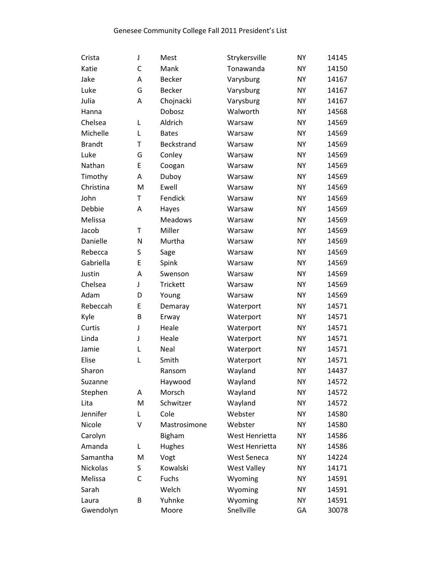| Crista        | J | Mest           | Strykersville      | <b>NY</b> | 14145 |
|---------------|---|----------------|--------------------|-----------|-------|
| Katie         | С | Mank           | Tonawanda          | <b>NY</b> | 14150 |
| Jake          | Α | <b>Becker</b>  | Varysburg          | <b>NY</b> | 14167 |
| Luke          | G | <b>Becker</b>  | Varysburg          | <b>NY</b> | 14167 |
| Julia         | Α | Chojnacki      | Varysburg          | <b>NY</b> | 14167 |
| Hanna         |   | Dobosz         | Walworth           | <b>NY</b> | 14568 |
| Chelsea       | Г | Aldrich        | Warsaw             | <b>NY</b> | 14569 |
| Michelle      | Г | <b>Bates</b>   | Warsaw             | <b>NY</b> | 14569 |
| <b>Brandt</b> | Т | Beckstrand     | Warsaw             | <b>NY</b> | 14569 |
| Luke          | G | Conley         | Warsaw             | <b>NY</b> | 14569 |
| Nathan        | E | Coogan         | Warsaw             | <b>NY</b> | 14569 |
| Timothy       | Α | Duboy          | Warsaw             | <b>NY</b> | 14569 |
| Christina     | M | Ewell          | Warsaw             | <b>NY</b> | 14569 |
| John          | T | Fendick        | Warsaw             | <b>NY</b> | 14569 |
| Debbie        | A | Hayes          | Warsaw             | <b>NY</b> | 14569 |
| Melissa       |   | <b>Meadows</b> | Warsaw             | <b>NY</b> | 14569 |
| Jacob         | T | Miller         | Warsaw             | <b>NY</b> | 14569 |
| Danielle      | N | Murtha         | Warsaw             | <b>NY</b> | 14569 |
| Rebecca       | S | Sage           | Warsaw             | <b>NY</b> | 14569 |
| Gabriella     | E | Spink          | Warsaw             | <b>NY</b> | 14569 |
| Justin        | Α | Swenson        | Warsaw             | <b>NY</b> | 14569 |
| Chelsea       | J | Trickett       | Warsaw             | <b>NY</b> | 14569 |
| Adam          | D | Young          | Warsaw             | <b>NY</b> | 14569 |
| Rebeccah      | E | Demaray        | Waterport          | <b>NY</b> | 14571 |
| Kyle          | B | Erway          | Waterport          | <b>NY</b> | 14571 |
| Curtis        | J | Heale          | Waterport          | <b>NY</b> | 14571 |
| Linda         | J | Heale          | Waterport          | <b>NY</b> | 14571 |
| Jamie         | L | Neal           | Waterport          | <b>NY</b> | 14571 |
| Elise         | L | Smith          | Waterport          | <b>NY</b> | 14571 |
| Sharon        |   | Ransom         | Wayland            | <b>NY</b> | 14437 |
| Suzanne       |   | Haywood        | Wayland            | <b>NY</b> | 14572 |
| Stephen       | Α | Morsch         | Wayland            | <b>NY</b> | 14572 |
| Lita          | M | Schwitzer      | Wayland            | <b>NY</b> | 14572 |
| Jennifer      | Г | Cole           | Webster            | <b>NY</b> | 14580 |
| Nicole        | V | Mastrosimone   | Webster            | <b>NY</b> | 14580 |
| Carolyn       |   | <b>Bigham</b>  | West Henrietta     | <b>NY</b> | 14586 |
| Amanda        | Г | Hughes         | West Henrietta     | <b>NY</b> | 14586 |
| Samantha      | M | Vogt           | <b>West Seneca</b> | <b>NY</b> | 14224 |
| Nickolas      | S | Kowalski       | <b>West Valley</b> | <b>NY</b> | 14171 |
| Melissa       | C | Fuchs          | Wyoming            | <b>NY</b> | 14591 |
| Sarah         |   | Welch          | Wyoming            | <b>NY</b> | 14591 |
| Laura         | B | Yuhnke         | Wyoming            | <b>NY</b> | 14591 |
| Gwendolyn     |   | Moore          | Snellville         | GA        | 30078 |